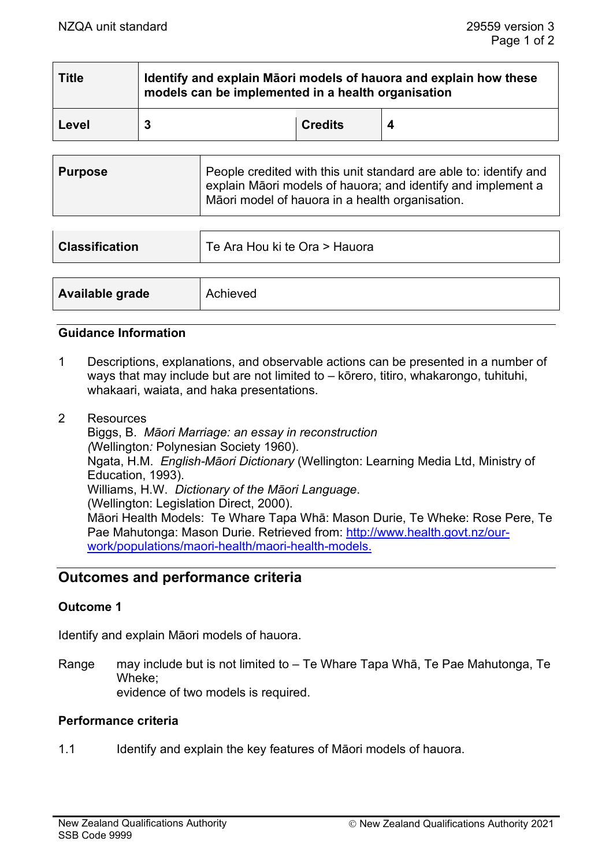| <b>Title</b> | Identify and explain Māori models of hauora and explain how these<br>models can be implemented in a health organisation |                |   |  |
|--------------|-------------------------------------------------------------------------------------------------------------------------|----------------|---|--|
| Level        |                                                                                                                         | <b>Credits</b> | 4 |  |

| <b>Purpose</b> | People credited with this unit standard are able to: identify and<br>explain Māori models of hauora; and identify and implement a<br>Māori model of hauora in a health organisation. |
|----------------|--------------------------------------------------------------------------------------------------------------------------------------------------------------------------------------|
|                |                                                                                                                                                                                      |

| <b>Classification</b> | Te Ara Hou ki te Ora > Hauora |  |
|-----------------------|-------------------------------|--|
|                       |                               |  |
| Available grade       | Achieved                      |  |

## **Guidance Information**

- 1 Descriptions, explanations, and observable actions can be presented in a number of ways that may include but are not limited to – kōrero, titiro, whakarongo, tuhituhi, whakaari, waiata, and haka presentations.
- 2 Resources Biggs, B. *Māori Marriage: an essay in reconstruction (*Wellington*:* Polynesian Society 1960). Ngata, H.M. *English-Māori Dictionary* (Wellington: Learning Media Ltd, Ministry of Education, 1993). Williams, H.W. *Dictionary of the Māori Language*. (Wellington: Legislation Direct, 2000). Māori Health Models: Te Whare Tapa Whā: Mason Durie, Te Wheke: Rose Pere, Te Pae Mahutonga: Mason Durie. Retrieved from: [http://www.health.govt.nz/our](http://www.health.govt.nz/our-work/populations/maori-health/maori-health-models)[work/populations/maori-health/maori-health-models.](http://www.health.govt.nz/our-work/populations/maori-health/maori-health-models)

# **Outcomes and performance criteria**

## **Outcome 1**

Identify and explain Māori models of hauora.

Range may include but is not limited to – Te Whare Tapa Whā, Te Pae Mahutonga, Te Wheke; evidence of two models is required.

## **Performance criteria**

1.1 Identify and explain the key features of Māori models of hauora.